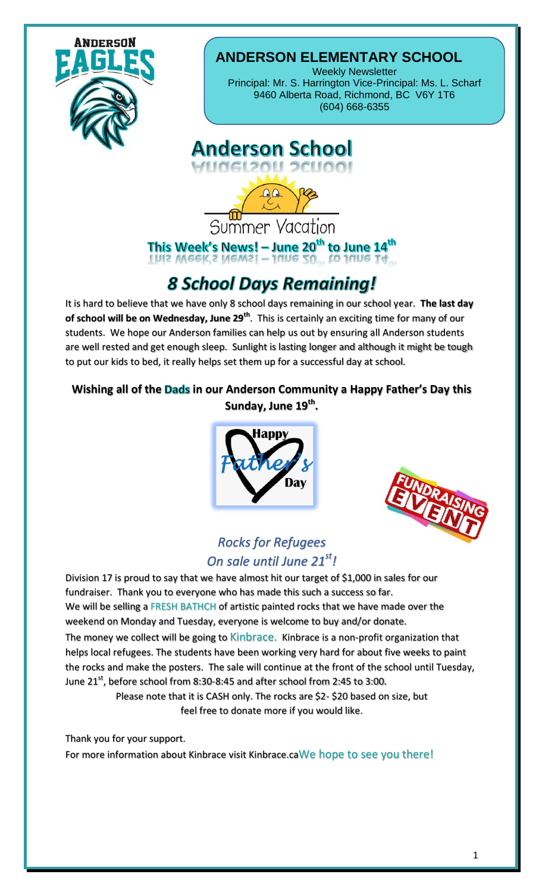

### **ANDERSON ELEMENTARY SCHOOL**

Weekly Newsletter Principal: Mr. S. Harrington Vice-Principal: Ms. L. Scharf 9460 Alberta Road, Richmond, BC V6Y 1T6 (604) 668-6355

#### **Anderson School** Angerson School

Summer Vacation This Week's News! - June 20<sup>th</sup> to June 14<sup>th</sup><br>This Meek's News! - June 30<sub>th</sub> to June 14<sub>th</sub>

# **8 School Days Remaining!**

It is hard to believe that we have only 8 school days remaining in our school year. **The last day of school will be on Wednesday, June 29th**. This is certainly an exciting time for many of our students. We hope our Anderson families can help us out by ensuring all Anderson students are well rested and get enough sleep. Sunlight is lasting longer and although it might be tough to put our kids to bed, it really helps set them up for a successful day at school.

#### **Wishing all of the Dads in our Anderson Community a Happy Father's Day this Sunday, June 19th .**





#### *Rocks for Refugees On sale until June 21st!*

Division 17 is proud to say that we have almost hit our target of \$1,000 in sales for our fundraiser. Thank you to everyone who has made this such a success so far. We will be selling a FRESH BATHCH of artistic painted rocks that we have made over the weekend on Monday and Tuesday, everyone is welcome to buy and/or donate. The money we collect will be going to Kinbrace. Kinbrace is a non-profit organization that helps local refugees. The students have been working very hard for about five weeks to paint the rocks and make the posters. The sale will continue at the front of the school until Tuesday, June  $21^{st}$ , before school from 8:30-8:45 and after school from 2:45 to 3:00.

Please note that it is CASH only. The rocks are \$2- \$20 based on size, but feel free to donate more if you would like.

Thank you for your support.

For more information about Kinbrace visit Kinbrace.caWe hope to see you there!